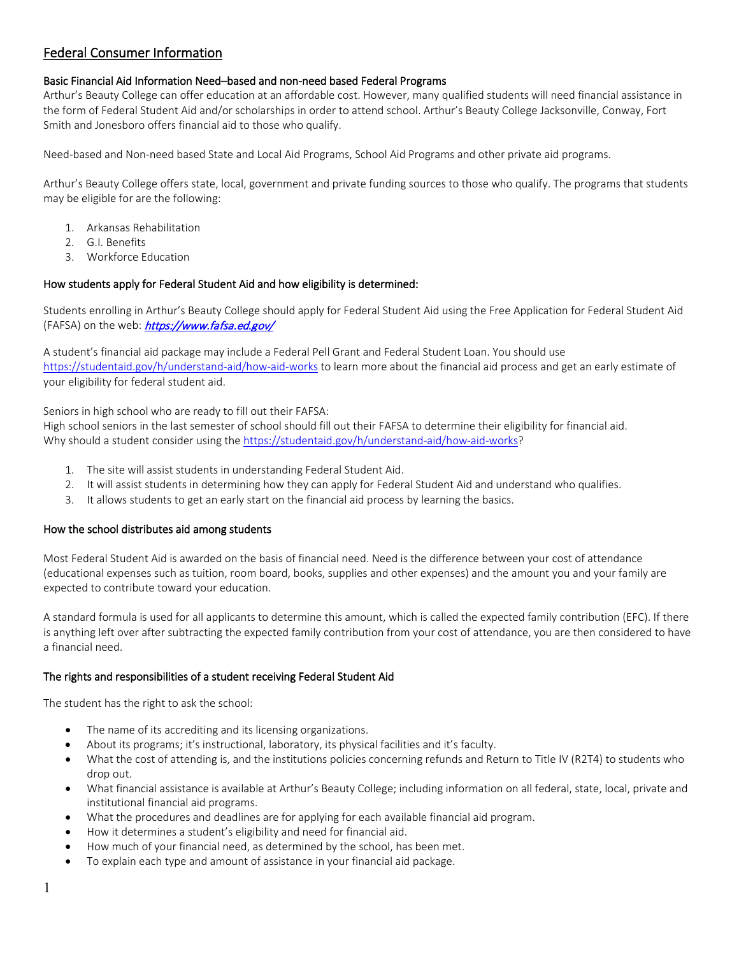# Federal Consumer Information

### Basic Financial Aid Information Need–based and non-need based Federal Programs

Arthur's Beauty College can offer education at an affordable cost. However, many qualified students will need financial assistance in the form of Federal Student Aid and/or scholarships in order to attend school. Arthur's Beauty College Jacksonville, Conway, Fort Smith and Jonesboro offers financial aid to those who qualify.

Need-based and Non-need based State and Local Aid Programs, School Aid Programs and other private aid programs.

Arthur's Beauty College offers state, local, government and private funding sources to those who qualify. The programs that students may be eligible for are the following:

- 1. Arkansas Rehabilitation
- 2. G.I. Benefits
- 3. Workforce Education

#### How students apply for Federal Student Aid and how eligibility is determined:

Students enrolling in Arthur's Beauty College should apply for Federal Student Aid using the Free Application for Federal Student Aid (FAFSA) on the web: https://www.fafsa.ed.gov/

A student's financial aid package may include a Federal Pell Grant and Federal Student Loan. You should use <https://studentaid.gov/h/understand-aid/how-aid-works> to learn more about the financial aid process and get an early estimate of your eligibility for federal student aid.

Seniors in high school who are ready to fill out their FAFSA:

High school seniors in the last semester of school should fill out their FAFSA to determine their eligibility for financial aid. Why should a student consider using th[e https://studentaid.gov/h/understand-aid/how-aid-works?](https://studentaid.gov/h/understand-aid/how-aid-works)

- 1. The site will assist students in understanding Federal Student Aid.
- 2. It will assist students in determining how they can apply for Federal Student Aid and understand who qualifies.
- 3. It allows students to get an early start on the financial aid process by learning the basics.

#### How the school distributes aid among students

Most Federal Student Aid is awarded on the basis of financial need. Need is the difference between your cost of attendance (educational expenses such as tuition, room board, books, supplies and other expenses) and the amount you and your family are expected to contribute toward your education.

A standard formula is used for all applicants to determine this amount, which is called the expected family contribution (EFC). If there is anything left over after subtracting the expected family contribution from your cost of attendance, you are then considered to have a financial need.

#### The rights and responsibilities of a student receiving Federal Student Aid

The student has the right to ask the school:

- The name of its accrediting and its licensing organizations.
- About its programs; it's instructional, laboratory, its physical facilities and it's faculty.
- What the cost of attending is, and the institutions policies concerning refunds and Return to Title IV (R2T4) to students who drop out.
- What financial assistance is available at Arthur's Beauty College; including information on all federal, state, local, private and institutional financial aid programs.
- What the procedures and deadlines are for applying for each available financial aid program.
- How it determines a student's eligibility and need for financial aid.
- How much of your financial need, as determined by the school, has been met.
- To explain each type and amount of assistance in your financial aid package.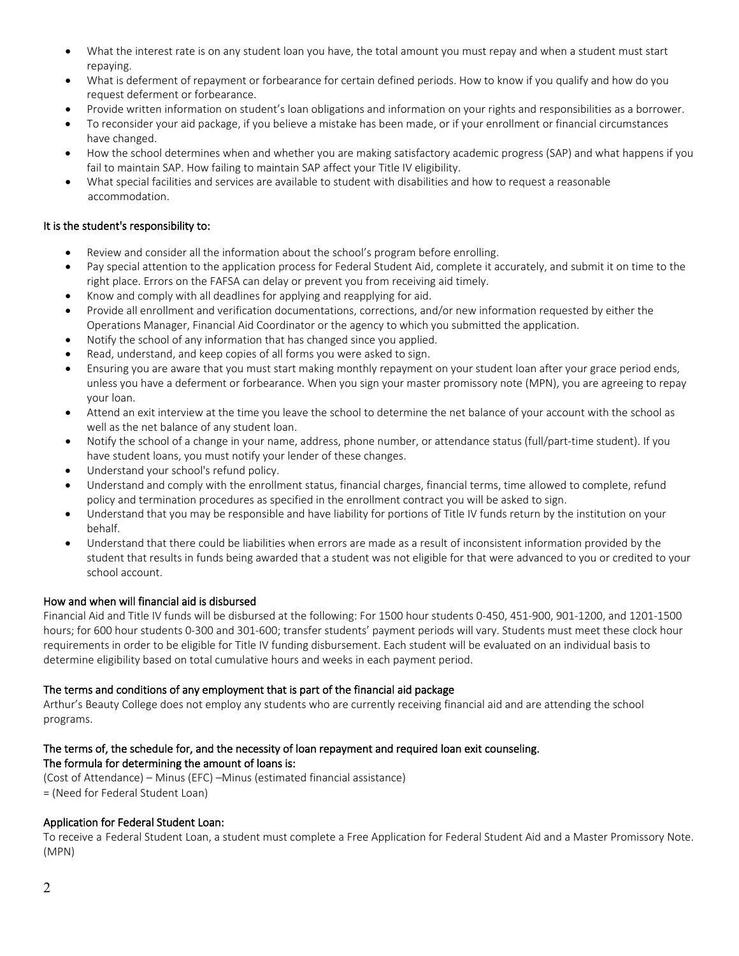- What the interest rate is on any student loan you have, the total amount you must repay and when a student must start repaying.
- What is deferment of repayment or forbearance for certain defined periods. How to know if you qualify and how do you request deferment or forbearance.
- Provide written information on student's loan obligations and information on your rights and responsibilities as a borrower.
- To reconsider your aid package, if you believe a mistake has been made, or if your enrollment or financial circumstances have changed.
- How the school determines when and whether you are making satisfactory academic progress (SAP) and what happens if you fail to maintain SAP. How failing to maintain SAP affect your Title IV eligibility.
- What special facilities and services are available to student with disabilities and how to request a reasonable accommodation.

### It is the student's responsibility to:

- Review and consider all the information about the school's program before enrolling.
- Pay special attention to the application process for Federal Student Aid, complete it accurately, and submit it on time to the right place. Errors on the FAFSA can delay or prevent you from receiving aid timely.
- Know and comply with all deadlines for applying and reapplying for aid.
- Provide all enrollment and verification documentations, corrections, and/or new information requested by either the Operations Manager, Financial Aid Coordinator or the agency to which you submitted the application.
- Notify the school of any information that has changed since you applied.
- Read, understand, and keep copies of all forms you were asked to sign.
- Ensuring you are aware that you must start making monthly repayment on your student loan after your grace period ends, unless you have a deferment or forbearance. When you sign your master promissory note (MPN), you are agreeing to repay your loan.
- Attend an exit interview at the time you leave the school to determine the net balance of your account with the school as well as the net balance of any student loan.
- Notify the school of a change in your name, address, phone number, or attendance status (full/part-time student). If you have student loans, you must notify your lender of these changes.
- Understand your school's refund policy.
- Understand and comply with the enrollment status, financial charges, financial terms, time allowed to complete, refund policy and termination procedures as specified in the enrollment contract you will be asked to sign.
- Understand that you may be responsible and have liability for portions of Title IV funds return by the institution on your behalf.
- Understand that there could be liabilities when errors are made as a result of inconsistent information provided by the student that results in funds being awarded that a student was not eligible for that were advanced to you or credited to your school account.

# How and when will financial aid is disbursed

Financial Aid and Title IV funds will be disbursed at the following: For 1500 hour students 0-450, 451-900, 901-1200, and 1201-1500 hours; for 600 hour students 0-300 and 301-600; transfer students' payment periods will vary. Students must meet these clock hour requirements in order to be eligible for Title IV funding disbursement. Each student will be evaluated on an individual basis to determine eligibility based on total cumulative hours and weeks in each payment period.

#### The terms and conditions of any employment that is part of the financial aid package

Arthur's Beauty College does not employ any students who are currently receiving financial aid and are attending the school programs.

### The terms of, the schedule for, and the necessity of loan repayment and required loan exit counseling. The formula for determining the amount of loans is:

(Cost of Attendance) – Minus (EFC) –Minus (estimated financial assistance)

= (Need for Federal Student Loan)

# Application for Federal Student Loan:

To receive a Federal Student Loan, a student must complete a Free Application for Federal Student Aid and a Master Promissory Note. (MPN)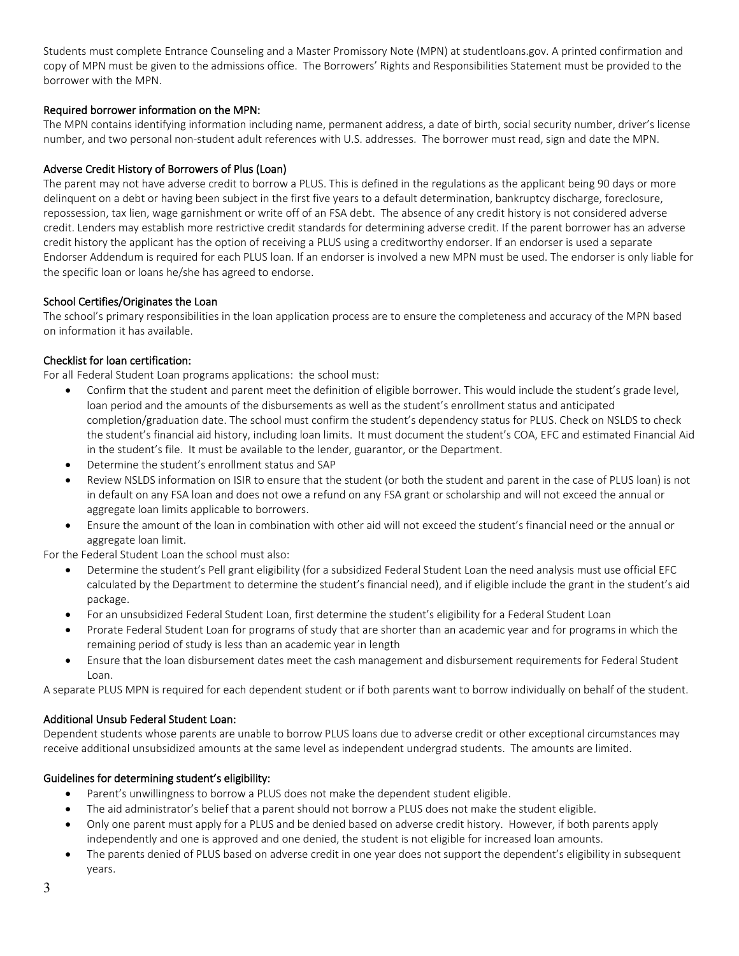Students must complete Entrance Counseling and a Master Promissory Note (MPN) at studentloans.gov. A printed confirmation and copy of MPN must be given to the admissions office. The Borrowers' Rights and Responsibilities Statement must be provided to the borrower with the MPN.

### Required borrower information on the MPN:

The MPN contains identifying information including name, permanent address, a date of birth, social security number, driver's license number, and two personal non-student adult references with U.S. addresses. The borrower must read, sign and date the MPN.

# Adverse Credit History of Borrowers of Plus (Loan)

The parent may not have adverse credit to borrow a PLUS. This is defined in the regulations as the applicant being 90 days or more delinquent on a debt or having been subject in the first five years to a default determination, bankruptcy discharge, foreclosure, repossession, tax lien, wage garnishment or write off of an FSA debt. The absence of any credit history is not considered adverse credit. Lenders may establish more restrictive credit standards for determining adverse credit. If the parent borrower has an adverse credit history the applicant has the option of receiving a PLUS using a creditworthy endorser. If an endorser is used a separate Endorser Addendum is required for each PLUS loan. If an endorser is involved a new MPN must be used. The endorser is only liable for the specific loan or loans he/she has agreed to endorse.

### School Certifies/Originates the Loan

The school's primary responsibilities in the loan application process are to ensure the completeness and accuracy of the MPN based on information it has available.

### Checklist for loan certification:

For all Federal Student Loan programs applications: the school must:

- Confirm that the student and parent meet the definition of eligible borrower. This would include the student's grade level, loan period and the amounts of the disbursements as well as the student's enrollment status and anticipated completion/graduation date. The school must confirm the student's dependency status for PLUS. Check on NSLDS to check the student's financial aid history, including loan limits. It must document the student's COA, EFC and estimated Financial Aid in the student's file. It must be available to the lender, guarantor, or the Department.
- Determine the student's enrollment status and SAP
- Review NSLDS information on ISIR to ensure that the student (or both the student and parent in the case of PLUS loan) is not in default on any FSA loan and does not owe a refund on any FSA grant or scholarship and will not exceed the annual or aggregate loan limits applicable to borrowers.
- Ensure the amount of the loan in combination with other aid will not exceed the student's financial need or the annual or aggregate loan limit.

For the Federal Student Loan the school must also:

- Determine the student's Pell grant eligibility (for a subsidized Federal Student Loan the need analysis must use official EFC calculated by the Department to determine the student's financial need), and if eligible include the grant in the student's aid package.
- For an unsubsidized Federal Student Loan, first determine the student's eligibility for a Federal Student Loan
- Prorate Federal Student Loan for programs of study that are shorter than an academic year and for programs in which the remaining period of study is less than an academic year in length
- Ensure that the loan disbursement dates meet the cash management and disbursement requirements for Federal Student Loan.

A separate PLUS MPN is required for each dependent student or if both parents want to borrow individually on behalf of the student.

#### Additional Unsub Federal Student Loan:

Dependent students whose parents are unable to borrow PLUS loans due to adverse credit or other exceptional circumstances may receive additional unsubsidized amounts at the same level as independent undergrad students. The amounts are limited.

#### Guidelines for determining student's eligibility:

- Parent's unwillingness to borrow a PLUS does not make the dependent student eligible.
- The aid administrator's belief that a parent should not borrow a PLUS does not make the student eligible.
- Only one parent must apply for a PLUS and be denied based on adverse credit history. However, if both parents apply independently and one is approved and one denied, the student is not eligible for increased loan amounts.
- The parents denied of PLUS based on adverse credit in one year does not support the dependent's eligibility in subsequent years.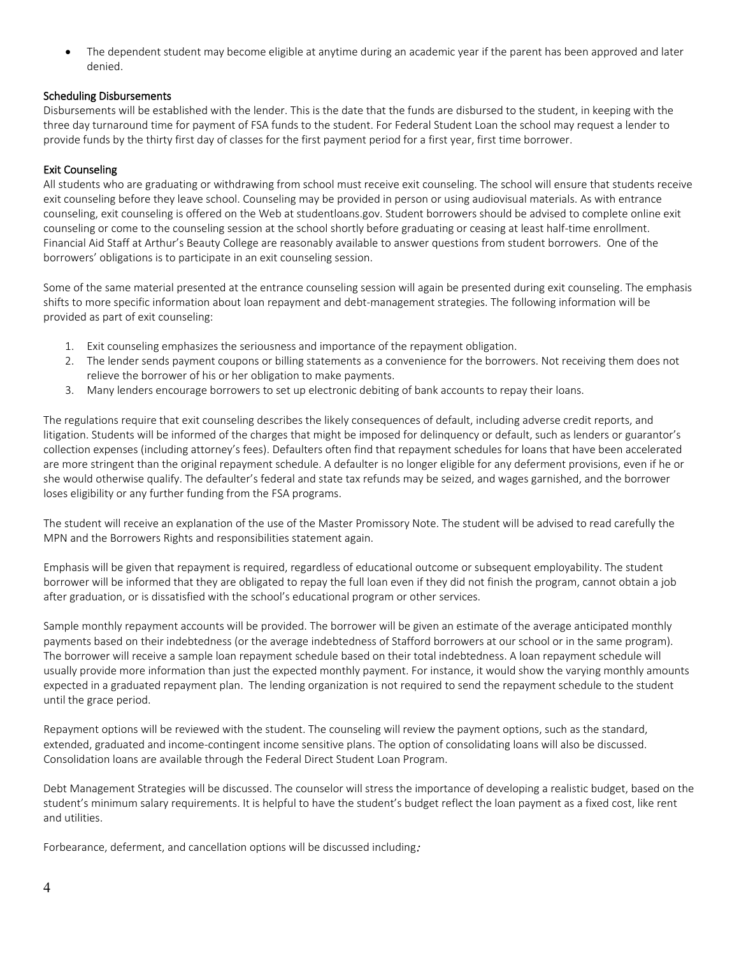• The dependent student may become eligible at anytime during an academic year if the parent has been approved and later denied.

# Scheduling Disbursements

Disbursements will be established with the lender. This is the date that the funds are disbursed to the student, in keeping with the three day turnaround time for payment of FSA funds to the student. For Federal Student Loan the school may request a lender to provide funds by the thirty first day of classes for the first payment period for a first year, first time borrower.

# Exit Counseling

All students who are graduating or withdrawing from school must receive exit counseling. The school will ensure that students receive exit counseling before they leave school. Counseling may be provided in person or using audiovisual materials. As with entrance counseling, exit counseling is offered on the Web at studentloans.gov. Student borrowers should be advised to complete online exit counseling or come to the counseling session at the school shortly before graduating or ceasing at least half-time enrollment. Financial Aid Staff at Arthur's Beauty College are reasonably available to answer questions from student borrowers. One of the borrowers' obligations is to participate in an exit counseling session.

Some of the same material presented at the entrance counseling session will again be presented during exit counseling. The emphasis shifts to more specific information about loan repayment and debt-management strategies. The following information will be provided as part of exit counseling:

- 1. Exit counseling emphasizes the seriousness and importance of the repayment obligation.
- 2. The lender sends payment coupons or billing statements as a convenience for the borrowers. Not receiving them does not relieve the borrower of his or her obligation to make payments.
- 3. Many lenders encourage borrowers to set up electronic debiting of bank accounts to repay their loans.

The regulations require that exit counseling describes the likely consequences of default, including adverse credit reports, and litigation. Students will be informed of the charges that might be imposed for delinquency or default, such as lenders or guarantor's collection expenses (including attorney's fees). Defaulters often find that repayment schedules for loans that have been accelerated are more stringent than the original repayment schedule. A defaulter is no longer eligible for any deferment provisions, even if he or she would otherwise qualify. The defaulter's federal and state tax refunds may be seized, and wages garnished, and the borrower loses eligibility or any further funding from the FSA programs.

The student will receive an explanation of the use of the Master Promissory Note. The student will be advised to read carefully the MPN and the Borrowers Rights and responsibilities statement again.

Emphasis will be given that repayment is required, regardless of educational outcome or subsequent employability. The student borrower will be informed that they are obligated to repay the full loan even if they did not finish the program, cannot obtain a job after graduation, or is dissatisfied with the school's educational program or other services.

Sample monthly repayment accounts will be provided. The borrower will be given an estimate of the average anticipated monthly payments based on their indebtedness (or the average indebtedness of Stafford borrowers at our school or in the same program). The borrower will receive a sample loan repayment schedule based on their total indebtedness. A loan repayment schedule will usually provide more information than just the expected monthly payment. For instance, it would show the varying monthly amounts expected in a graduated repayment plan. The lending organization is not required to send the repayment schedule to the student until the grace period.

Repayment options will be reviewed with the student. The counseling will review the payment options, such as the standard, extended, graduated and income-contingent income sensitive plans. The option of consolidating loans will also be discussed. Consolidation loans are available through the Federal Direct Student Loan Program.

Debt Management Strategies will be discussed. The counselor will stress the importance of developing a realistic budget, based on the student's minimum salary requirements. It is helpful to have the student's budget reflect the loan payment as a fixed cost, like rent and utilities.

Forbearance, deferment, and cancellation options will be discussed including: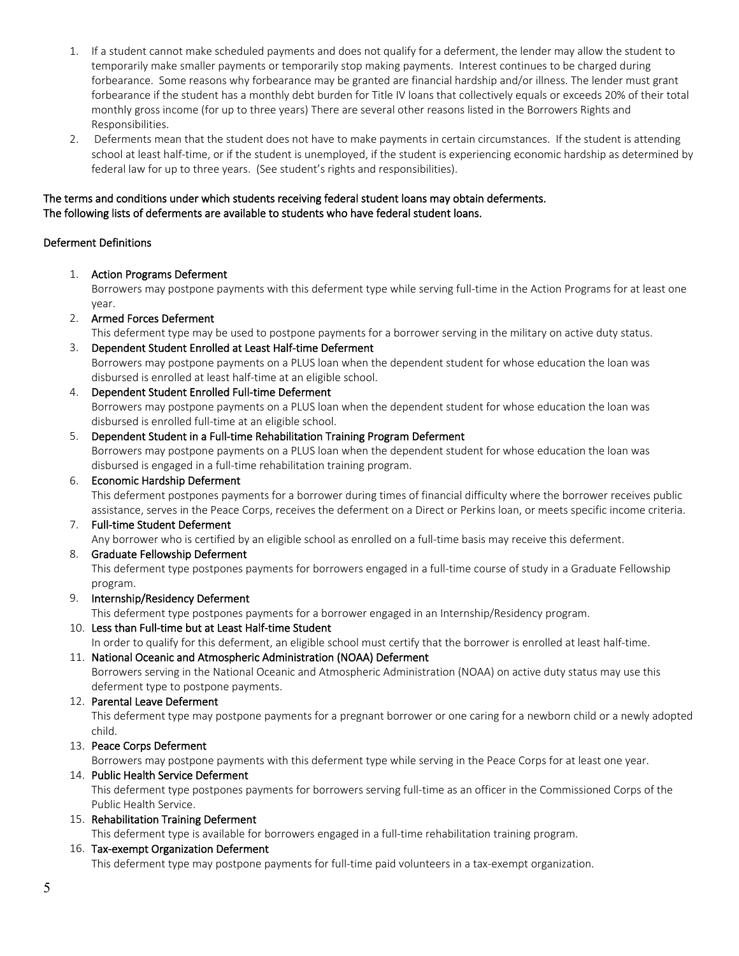- 1. If a student cannot make scheduled payments and does not qualify for a deferment, the lender may allow the student to temporarily make smaller payments or temporarily stop making payments. Interest continues to be charged during forbearance. Some reasons why forbearance may be granted are financial hardship and/or illness. The lender must grant forbearance if the student has a monthly debt burden for Title IV loans that collectively equals or exceeds 20% of their total monthly gross income (for up to three years) There are several other reasons listed in the Borrowers Rights and Responsibilities.
- 2. Deferments mean that the student does not have to make payments in certain circumstances. If the student is attending school at least half-time, or if the student is unemployed, if the student is experiencing economic hardship as determined by federal law for up to three years. (See student's rights and responsibilities).

# The terms and conditions under which students receiving federal student loans may obtain deferments. The following lists of deferments are available to students who have federal student loans.

# Deferment Definitions

# 1. Action Programs Deferment

Borrowers may postpone payments with this deferment type while serving full-time in the Action Programs for at least one year.

# 2. Armed Forces Deferment

This deferment type may be used to postpone payments for a borrower serving in the military on active duty status.

- 3. Dependent Student Enrolled at Least Half-time Deferment Borrowers may postpone payments on a PLUS loan when the dependent student for whose education the loan was disbursed is enrolled at least half-time at an eligible school.
- 4. Dependent Student Enrolled Full-time Deferment Borrowers may postpone payments on a PLUS loan when the dependent student for whose education the loan was disbursed is enrolled full-time at an eligible school.
- 5. Dependent Student in a Full-time Rehabilitation Training Program Deferment Borrowers may postpone payments on a PLUS loan when the dependent student for whose education the loan was disbursed is engaged in a full-time rehabilitation training program.
- 6. Economic Hardship Deferment This deferment postpones payments for a borrower during times of financial difficulty where the borrower receives public assistance, serves in the Peace Corps, receives the deferment on a Direct or Perkins loan, or meets specific income criteria.
- 7. Full-time Student Deferment Any borrower who is certified by an eligible school as enrolled on a full-time basis may receive this deferment.
- 8. Graduate Fellowship Deferment

This deferment type postpones payments for borrowers engaged in a full-time course of study in a Graduate Fellowship program.

9. Internship/Residency Deferment

This deferment type postpones payments for a borrower engaged in an Internship/Residency program.

10. Less than Full-time but at Least Half-time Student

In order to qualify for this deferment, an eligible school must certify that the borrower is enrolled at least half-time.

- 11. National Oceanic and Atmospheric Administration (NOAA) Deferment Borrowers serving in the National Oceanic and Atmospheric Administration (NOAA) on active duty status may use this deferment type to postpone payments.
- 12. Parental Leave Deferment

This deferment type may postpone payments for a pregnant borrower or one caring for a newborn child or a newly adopted child.

13. Peace Corps Deferment

Borrowers may postpone payments with this deferment type while serving in the Peace Corps for at least one year.

- 14. Public Health Service Deferment This deferment type postpones payments for borrowers serving full-time as an officer in the Commissioned Corps of the Public Health Service.
- 15. Rehabilitation Training Deferment

This deferment type is available for borrowers engaged in a full-time rehabilitation training program.

# 16. Tax-exempt Organization Deferment

This deferment type may postpone payments for full-time paid volunteers in a tax-exempt organization.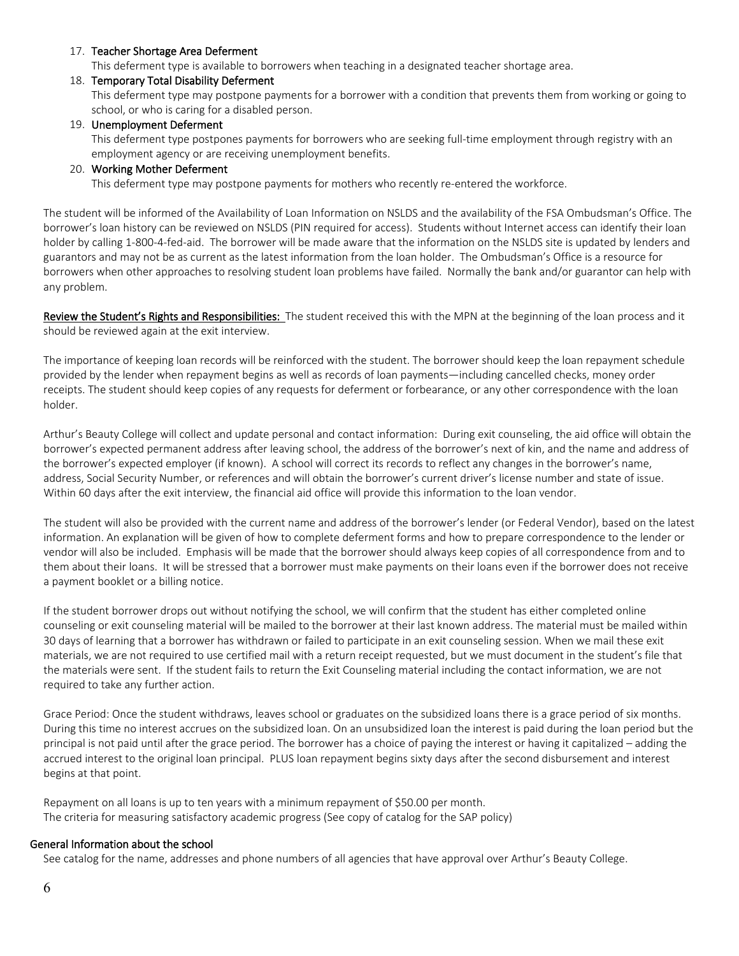#### 17. Teacher Shortage Area Deferment

This deferment type is available to borrowers when teaching in a designated teacher shortage area.

18. Temporary Total Disability Deferment

This deferment type may postpone payments for a borrower with a condition that prevents them from working or going to school, or who is caring for a disabled person.

#### 19. Unemployment Deferment

This deferment type postpones payments for borrowers who are seeking full-time employment through registry with an employment agency or are receiving unemployment benefits.

#### 20. Working Mother Deferment

This deferment type may postpone payments for mothers who recently re-entered the workforce.

The student will be informed of the Availability of Loan Information on NSLDS and the availability of the FSA Ombudsman's Office. The borrower's loan history can be reviewed on NSLDS (PIN required for access). Students without Internet access can identify their loan holder by calling 1-800-4-fed-aid. The borrower will be made aware that the information on the NSLDS site is updated by lenders and guarantors and may not be as current as the latest information from the loan holder. The Ombudsman's Office is a resource for borrowers when other approaches to resolving student loan problems have failed. Normally the bank and/or guarantor can help with any problem.

Review the Student's Rights and Responsibilities: The student received this with the MPN at the beginning of the loan process and it should be reviewed again at the exit interview.

The importance of keeping loan records will be reinforced with the student. The borrower should keep the loan repayment schedule provided by the lender when repayment begins as well as records of loan payments—including cancelled checks, money order receipts. The student should keep copies of any requests for deferment or forbearance, or any other correspondence with the loan holder.

Arthur's Beauty College will collect and update personal and contact information: During exit counseling, the aid office will obtain the borrower's expected permanent address after leaving school, the address of the borrower's next of kin, and the name and address of the borrower's expected employer (if known). A school will correct its records to reflect any changes in the borrower's name, address, Social Security Number, or references and will obtain the borrower's current driver's license number and state of issue. Within 60 days after the exit interview, the financial aid office will provide this information to the loan vendor.

The student will also be provided with the current name and address of the borrower's lender (or Federal Vendor), based on the latest information. An explanation will be given of how to complete deferment forms and how to prepare correspondence to the lender or vendor will also be included. Emphasis will be made that the borrower should always keep copies of all correspondence from and to them about their loans. It will be stressed that a borrower must make payments on their loans even if the borrower does not receive a payment booklet or a billing notice.

If the student borrower drops out without notifying the school, we will confirm that the student has either completed online counseling or exit counseling material will be mailed to the borrower at their last known address. The material must be mailed within 30 days of learning that a borrower has withdrawn or failed to participate in an exit counseling session. When we mail these exit materials, we are not required to use certified mail with a return receipt requested, but we must document in the student's file that the materials were sent. If the student fails to return the Exit Counseling material including the contact information, we are not required to take any further action.

Grace Period: Once the student withdraws, leaves school or graduates on the subsidized loans there is a grace period of six months. During this time no interest accrues on the subsidized loan. On an unsubsidized loan the interest is paid during the loan period but the principal is not paid until after the grace period. The borrower has a choice of paying the interest or having it capitalized – adding the accrued interest to the original loan principal. PLUS loan repayment begins sixty days after the second disbursement and interest begins at that point.

Repayment on all loans is up to ten years with a minimum repayment of \$50.00 per month. The criteria for measuring satisfactory academic progress (See copy of catalog for the SAP policy)

#### General Information about the school

See catalog for the name, addresses and phone numbers of all agencies that have approval over Arthur's Beauty College.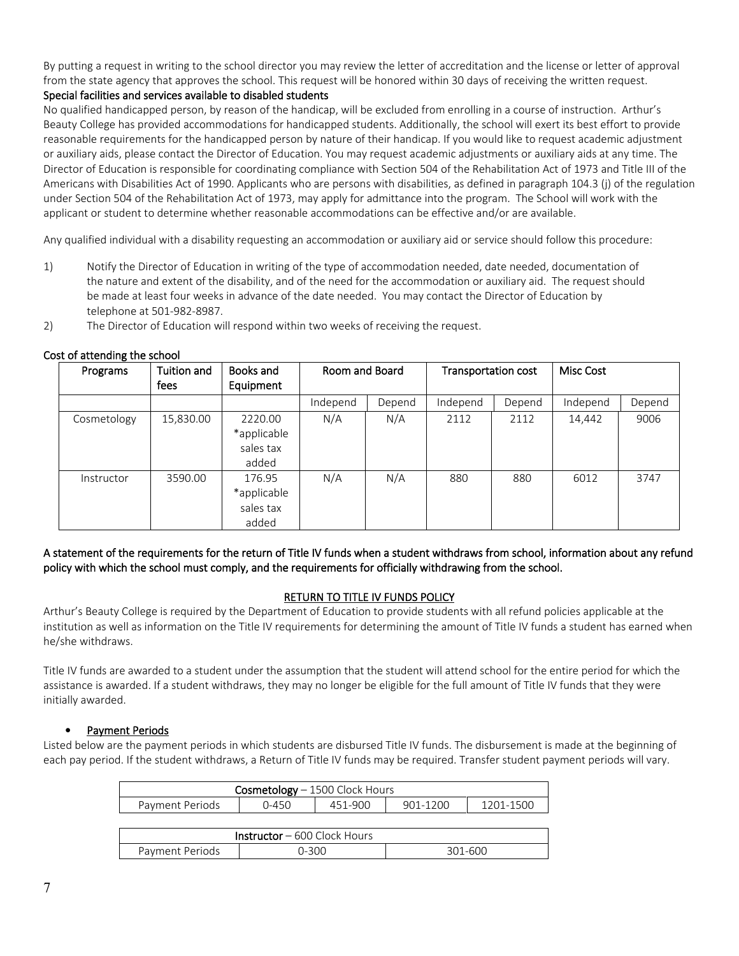By putting a request in writing to the school director you may review the letter of accreditation and the license or letter of approval from the state agency that approves the school. This request will be honored within 30 days of receiving the written request.

# Special facilities and services available to disabled students

No qualified handicapped person, by reason of the handicap, will be excluded from enrolling in a course of instruction. Arthur's Beauty College has provided accommodations for handicapped students. Additionally, the school will exert its best effort to provide reasonable requirements for the handicapped person by nature of their handicap. If you would like to request academic adjustment or auxiliary aids, please contact the Director of Education. You may request academic adjustments or auxiliary aids at any time. The Director of Education is responsible for coordinating compliance with Section 504 of the Rehabilitation Act of 1973 and Title III of the Americans with Disabilities Act of 1990. Applicants who are persons with disabilities, as defined in paragraph 104.3 (j) of the regulation under Section 504 of the Rehabilitation Act of 1973, may apply for admittance into the program. The School will work with the applicant or student to determine whether reasonable accommodations can be effective and/or are available.

Any qualified individual with a disability requesting an accommodation or auxiliary aid or service should follow this procedure:

- 1) Notify the Director of Education in writing of the type of accommodation needed, date needed, documentation of the nature and extent of the disability, and of the need for the accommodation or auxiliary aid. The request should be made at least four weeks in advance of the date needed. You may contact the Director of Education by telephone at 501-982-8987.
- 2) The Director of Education will respond within two weeks of receiving the request.

# Cost of attending the school

| Programs    | Tuition and | Books and                                   | Room and Board |        | <b>Transportation cost</b> |        | <b>Misc Cost</b> |        |
|-------------|-------------|---------------------------------------------|----------------|--------|----------------------------|--------|------------------|--------|
|             | fees        | Equipment                                   |                |        |                            |        |                  |        |
|             |             |                                             | Independ       | Depend | Independ                   | Depend | Independ         | Depend |
| Cosmetology | 15,830.00   | 2220.00<br>*applicable<br>sales tax         | N/A            | N/A    | 2112                       | 2112   | 14,442           | 9006   |
|             |             | added                                       |                |        |                            |        |                  |        |
| Instructor  | 3590.00     | 176.95<br>*applicable<br>sales tax<br>added | N/A            | N/A    | 880                        | 880    | 6012             | 3747   |

# A statement of the requirements for the return of Title IV funds when a student withdraws from school, information about any refund policy with which the school must comply, and the requirements for officially withdrawing from the school.

# RETURN TO TITLE IV FUNDS POLICY

Arthur's Beauty College is required by the Department of Education to provide students with all refund policies applicable at the institution as well as information on the Title IV requirements for determining the amount of Title IV funds a student has earned when he/she withdraws.

Title IV funds are awarded to a student under the assumption that the student will attend school for the entire period for which the assistance is awarded. If a student withdraws, they may no longer be eligible for the full amount of Title IV funds that they were initially awarded.

# Payment Periods

Listed below are the payment periods in which students are disbursed Title IV funds. The disbursement is made at the beginning of each pay period. If the student withdraws, a Return of Title IV funds may be required. Transfer student payment periods will vary.

| Cosmetology - 1500 Clock Hours                                   |  |  |  |  |  |
|------------------------------------------------------------------|--|--|--|--|--|
| Payment Periods<br>451-900<br>901-1200<br>1201-1500<br>$0 - 450$ |  |  |  |  |  |
|                                                                  |  |  |  |  |  |
| <b>Instructor</b> $-$ 600 Clock Hours                            |  |  |  |  |  |
| Payment Periods<br>$0 - 300$<br>301-600                          |  |  |  |  |  |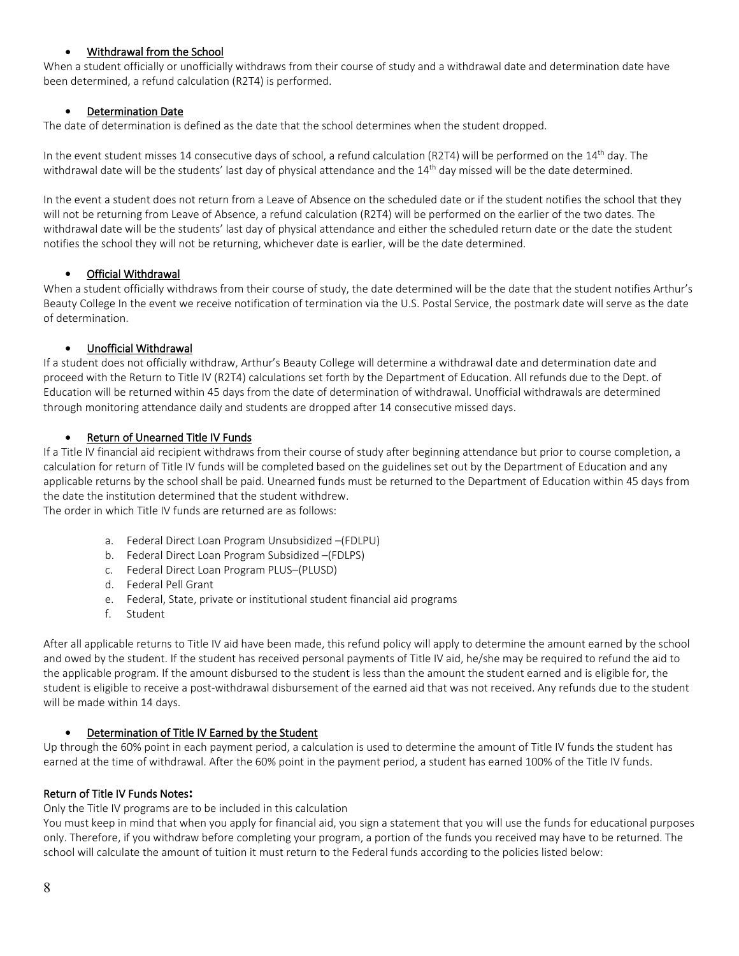# • Withdrawal from the School

When a student officially or unofficially withdraws from their course of study and a withdrawal date and determination date have been determined, a refund calculation (R2T4) is performed.

### • Determination Date

The date of determination is defined as the date that the school determines when the student dropped.

In the event student misses 14 consecutive days of school, a refund calculation (R2T4) will be performed on the  $14<sup>th</sup>$  day. The withdrawal date will be the students' last day of physical attendance and the 14<sup>th</sup> day missed will be the date determined.

In the event a student does not return from a Leave of Absence on the scheduled date or if the student notifies the school that they will not be returning from Leave of Absence, a refund calculation (R2T4) will be performed on the earlier of the two dates. The withdrawal date will be the students' last day of physical attendance and either the scheduled return date or the date the student notifies the school they will not be returning, whichever date is earlier, will be the date determined.

### • Official Withdrawal

When a student officially withdraws from their course of study, the date determined will be the date that the student notifies Arthur's Beauty College In the event we receive notification of termination via the U.S. Postal Service, the postmark date will serve as the date of determination.

### • Unofficial Withdrawal

If a student does not officially withdraw, Arthur's Beauty College will determine a withdrawal date and determination date and proceed with the Return to Title IV (R2T4) calculations set forth by the Department of Education. All refunds due to the Dept. of Education will be returned within 45 days from the date of determination of withdrawal. Unofficial withdrawals are determined through monitoring attendance daily and students are dropped after 14 consecutive missed days.

### Return of Unearned Title IV Funds

If a Title IV financial aid recipient withdraws from their course of study after beginning attendance but prior to course completion, a calculation for return of Title IV funds will be completed based on the guidelines set out by the Department of Education and any applicable returns by the school shall be paid. Unearned funds must be returned to the Department of Education within 45 days from the date the institution determined that the student withdrew.

The order in which Title IV funds are returned are as follows:

- a. Federal Direct Loan Program Unsubsidized –(FDLPU)
- b. Federal Direct Loan Program Subsidized –(FDLPS)
- c. Federal Direct Loan Program PLUS–(PLUSD)
- d. Federal Pell Grant
- e. Federal, State, private or institutional student financial aid programs
- f. Student

After all applicable returns to Title IV aid have been made, this refund policy will apply to determine the amount earned by the school and owed by the student. If the student has received personal payments of Title IV aid, he/she may be required to refund the aid to the applicable program. If the amount disbursed to the student is less than the amount the student earned and is eligible for, the student is eligible to receive a post-withdrawal disbursement of the earned aid that was not received. Any refunds due to the student will be made within 14 days.

#### Determination of Title IV Earned by the Student

Up through the 60% point in each payment period, a calculation is used to determine the amount of Title IV funds the student has earned at the time of withdrawal. After the 60% point in the payment period, a student has earned 100% of the Title IV funds.

#### Return of Title IV Funds Notes**:**

Only the Title IV programs are to be included in this calculation

You must keep in mind that when you apply for financial aid, you sign a statement that you will use the funds for educational purposes only. Therefore, if you withdraw before completing your program, a portion of the funds you received may have to be returned. The school will calculate the amount of tuition it must return to the Federal funds according to the policies listed below: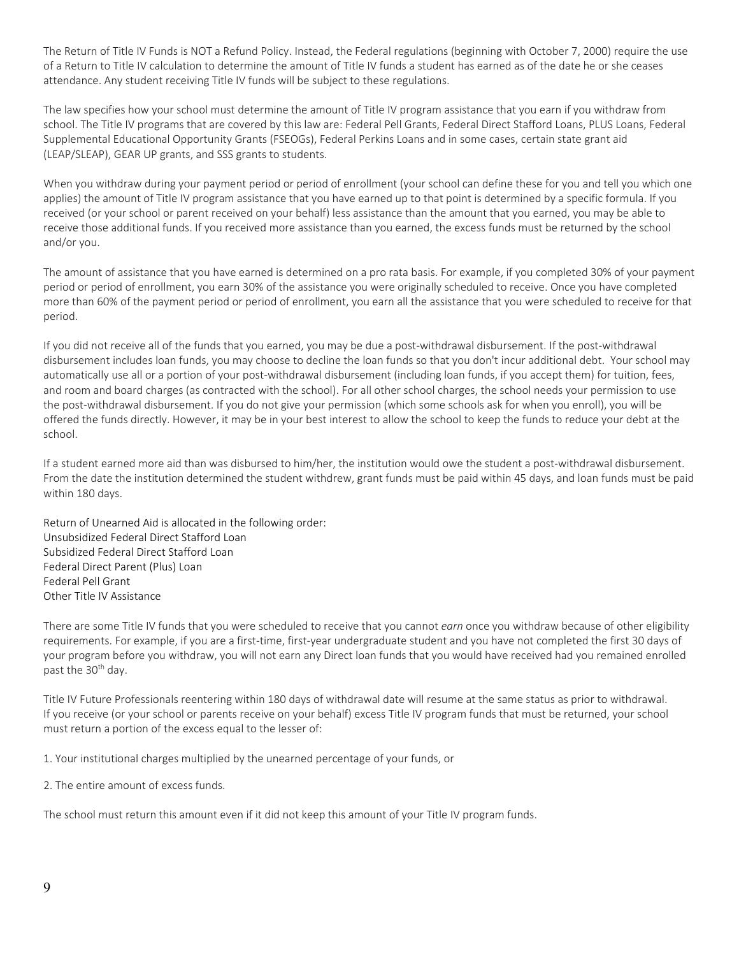The Return of Title IV Funds is NOT a Refund Policy. Instead, the Federal regulations (beginning with October 7, 2000) require the use of a Return to Title IV calculation to determine the amount of Title IV funds a student has earned as of the date he or she ceases attendance. Any student receiving Title IV funds will be subject to these regulations.

The law specifies how your school must determine the amount of Title IV program assistance that you earn if you withdraw from school. The Title IV programs that are covered by this law are: Federal Pell Grants, Federal Direct Stafford Loans, PLUS Loans, Federal Supplemental Educational Opportunity Grants (FSEOGs), Federal Perkins Loans and in some cases, certain state grant aid (LEAP/SLEAP), GEAR UP grants, and SSS grants to students.

When you withdraw during your payment period or period of enrollment (your school can define these for you and tell you which one applies) the amount of Title IV program assistance that you have earned up to that point is determined by a specific formula. If you received (or your school or parent received on your behalf) less assistance than the amount that you earned, you may be able to receive those additional funds. If you received more assistance than you earned, the excess funds must be returned by the school and/or you.

The amount of assistance that you have earned is determined on a pro rata basis. For example, if you completed 30% of your payment period or period of enrollment, you earn 30% of the assistance you were originally scheduled to receive. Once you have completed more than 60% of the payment period or period of enrollment, you earn all the assistance that you were scheduled to receive for that period.

If you did not receive all of the funds that you earned, you may be due a post-withdrawal disbursement. If the post-withdrawal disbursement includes loan funds, you may choose to decline the loan funds so that you don't incur additional debt. Your school may automatically use all or a portion of your post-withdrawal disbursement (including loan funds, if you accept them) for tuition, fees, and room and board charges (as contracted with the school). For all other school charges, the school needs your permission to use the post-withdrawal disbursement. If you do not give your permission (which some schools ask for when you enroll), you will be offered the funds directly. However, it may be in your best interest to allow the school to keep the funds to reduce your debt at the school.

If a student earned more aid than was disbursed to him/her, the institution would owe the student a post-withdrawal disbursement. From the date the institution determined the student withdrew, grant funds must be paid within 45 days, and loan funds must be paid within 180 days.

Return of Unearned Aid is allocated in the following order: Unsubsidized Federal Direct Stafford Loan Subsidized Federal Direct Stafford Loan Federal Direct Parent (Plus) Loan Federal Pell Grant Other Title IV Assistance

There are some Title IV funds that you were scheduled to receive that you cannot *earn* once you withdraw because of other eligibility requirements. For example, if you are a first-time, first-year undergraduate student and you have not completed the first 30 days of your program before you withdraw, you will not earn any Direct loan funds that you would have received had you remained enrolled past the 30<sup>th</sup> day.

Title IV Future Professionals reentering within 180 days of withdrawal date will resume at the same status as prior to withdrawal. If you receive (or your school or parents receive on your behalf) excess Title IV program funds that must be returned, your school must return a portion of the excess equal to the lesser of:

1. Your institutional charges multiplied by the unearned percentage of your funds, or

2. The entire amount of excess funds.

The school must return this amount even if it did not keep this amount of your Title IV program funds.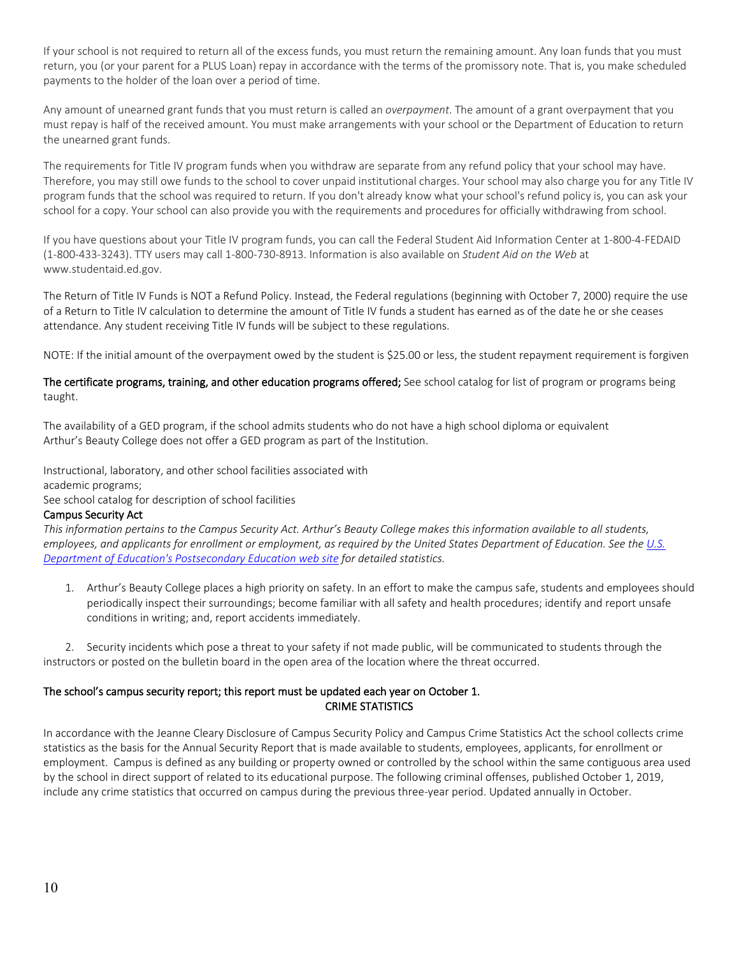If your school is not required to return all of the excess funds, you must return the remaining amount. Any loan funds that you must return, you (or your parent for a PLUS Loan) repay in accordance with the terms of the promissory note. That is, you make scheduled payments to the holder of the loan over a period of time.

Any amount of unearned grant funds that you must return is called an *overpayment*. The amount of a grant overpayment that you must repay is half of the received amount. You must make arrangements with your school or the Department of Education to return the unearned grant funds.

The requirements for Title IV program funds when you withdraw are separate from any refund policy that your school may have. Therefore, you may still owe funds to the school to cover unpaid institutional charges. Your school may also charge you for any Title IV program funds that the school was required to return. If you don't already know what your school's refund policy is, you can ask your school for a copy. Your school can also provide you with the requirements and procedures for officially withdrawing from school.

If you have questions about your Title IV program funds, you can call the Federal Student Aid Information Center at 1-800-4-FEDAID (1-800-433-3243). TTY users may call 1-800-730-8913. Information is also available on *Student Aid on the Web* at www.studentaid.ed.gov.

The Return of Title IV Funds is NOT a Refund Policy. Instead, the Federal regulations (beginning with October 7, 2000) require the use of a Return to Title IV calculation to determine the amount of Title IV funds a student has earned as of the date he or she ceases attendance. Any student receiving Title IV funds will be subject to these regulations.

NOTE: If the initial amount of the overpayment owed by the student is \$25.00 or less, the student repayment requirement is forgiven

# The certificate programs, training, and other education programs offered; See school catalog for list of program or programs being taught.

The availability of a GED program, if the school admits students who do not have a high school diploma or equivalent Arthur's Beauty College does not offer a GED program as part of the Institution.

Instructional, laboratory, and other school facilities associated with academic programs; See school catalog for description of school facilities

#### Campus Security Act

*This information pertains to the Campus Security Act. Arthur's Beauty College makes this information available to all students, employees, and applicants for enrollment or employment, as required by the United States Department of Education. See the [U.S.](http://ope.ed.gov/security/instDetail.asp?UNITID=202806)  [Department of Education's Postsecondary Education web site](http://ope.ed.gov/security/instDetail.asp?UNITID=202806) for detailed statistics.*

1. Arthur's Beauty College places a high priority on safety. In an effort to make the campus safe, students and employees should periodically inspect their surroundings; become familiar with all safety and health procedures; identify and report unsafe conditions in writing; and, report accidents immediately.

2. Security incidents which pose a threat to your safety if not made public, will be communicated to students through the instructors or posted on the bulletin board in the open area of the location where the threat occurred.

# The school's campus security report; this report must be updated each year on October 1. CRIME STATISTICS

In accordance with the Jeanne Cleary Disclosure of Campus Security Policy and Campus Crime Statistics Act the school collects crime statistics as the basis for the Annual Security Report that is made available to students, employees, applicants, for enrollment or employment. Campus is defined as any building or property owned or controlled by the school within the same contiguous area used by the school in direct support of related to its educational purpose. The following criminal offenses, published October 1, 2019, include any crime statistics that occurred on campus during the previous three-year period. Updated annually in October.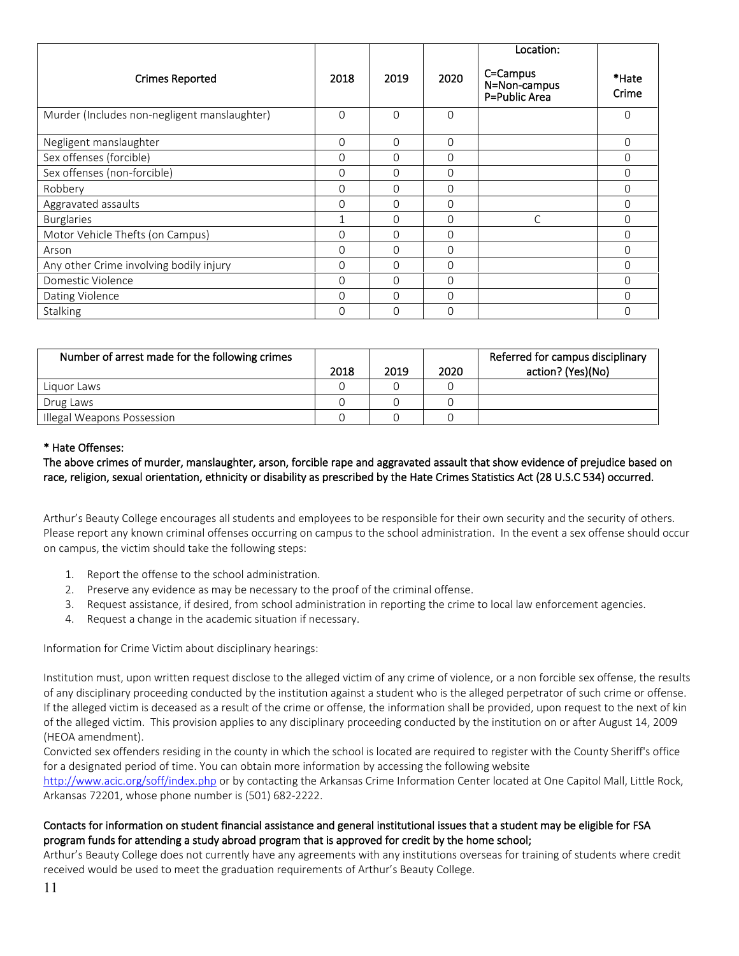|                                              |          |          |          | Location:                                 |                |
|----------------------------------------------|----------|----------|----------|-------------------------------------------|----------------|
| <b>Crimes Reported</b>                       | 2018     | 2019     | 2020     | C=Campus<br>N=Non-campus<br>P=Public Area | *Hate<br>Crime |
| Murder (Includes non-negligent manslaughter) | $\Omega$ | $\Omega$ | $\Omega$ |                                           | O              |
| Negligent manslaughter                       | $\Omega$ | $\Omega$ | $\Omega$ |                                           | 0              |
| Sex offenses (forcible)                      | $\Omega$ | $\Omega$ | 0        |                                           | 0              |
| Sex offenses (non-forcible)                  | $\Omega$ | $\Omega$ | $\Omega$ |                                           | 0              |
| Robbery                                      | $\Omega$ | $\Omega$ | $\Omega$ |                                           | 0              |
| Aggravated assaults                          | $\Omega$ | $\Omega$ | $\Omega$ |                                           | 0              |
| <b>Burglaries</b>                            | 1        | $\Omega$ | $\Omega$ | C                                         | O              |
| Motor Vehicle Thefts (on Campus)             | $\Omega$ | $\Omega$ | $\Omega$ |                                           | Ω              |
| Arson                                        | $\Omega$ | $\Omega$ | $\Omega$ |                                           | 0              |
| Any other Crime involving bodily injury      | $\Omega$ | $\Omega$ | $\Omega$ |                                           | 0              |
| Domestic Violence                            | $\Omega$ | $\Omega$ | $\Omega$ |                                           | 0              |
| Dating Violence                              | $\Omega$ | $\Omega$ | $\Omega$ |                                           | 0              |
| Stalking                                     | $\Omega$ | $\Omega$ | $\Omega$ |                                           | O              |

| Number of arrest made for the following crimes | 2018 | 2019 | 2020 | Referred for campus disciplinary<br>action? (Yes)(No) |
|------------------------------------------------|------|------|------|-------------------------------------------------------|
| Liguor Laws                                    |      |      |      |                                                       |
| Drug Laws                                      |      |      |      |                                                       |
| Illegal Weapons Possession                     |      |      |      |                                                       |

# \* Hate Offenses:

# The above crimes of murder, manslaughter, arson, forcible rape and aggravated assault that show evidence of prejudice based on race, religion, sexual orientation, ethnicity or disability as prescribed by the Hate Crimes Statistics Act (28 U.S.C 534) occurred.

Arthur's Beauty College encourages all students and employees to be responsible for their own security and the security of others. Please report any known criminal offenses occurring on campus to the school administration. In the event a sex offense should occur on campus, the victim should take the following steps:

- 1. Report the offense to the school administration.
- 2. Preserve any evidence as may be necessary to the proof of the criminal offense.
- 3. Request assistance, if desired, from school administration in reporting the crime to local law enforcement agencies.
- 4. Request a change in the academic situation if necessary.

Information for Crime Victim about disciplinary hearings:

Institution must, upon written request disclose to the alleged victim of any crime of violence, or a non forcible sex offense, the results of any disciplinary proceeding conducted by the institution against a student who is the alleged perpetrator of such crime or offense. If the alleged victim is deceased as a result of the crime or offense, the information shall be provided, upon request to the next of kin of the alleged victim. This provision applies to any disciplinary proceeding conducted by the institution on or after August 14, 2009 (HEOA amendment).

Convicted sex offenders residing in the county in which the school is located are required to register with the County Sheriff's office for a designated period of time. You can obtain more information by accessing the following website

<http://www.acic.org/soff/index.php> or by contacting the Arkansas Crime Information Center located at One Capitol Mall, Little Rock, Arkansas 72201, whose phone number is (501) 682-2222.

### Contacts for information on student financial assistance and general institutional issues that a student may be eligible for FSA program funds for attending a study abroad program that is approved for credit by the home school;

Arthur's Beauty College does not currently have any agreements with any institutions overseas for training of students where credit received would be used to meet the graduation requirements of Arthur's Beauty College.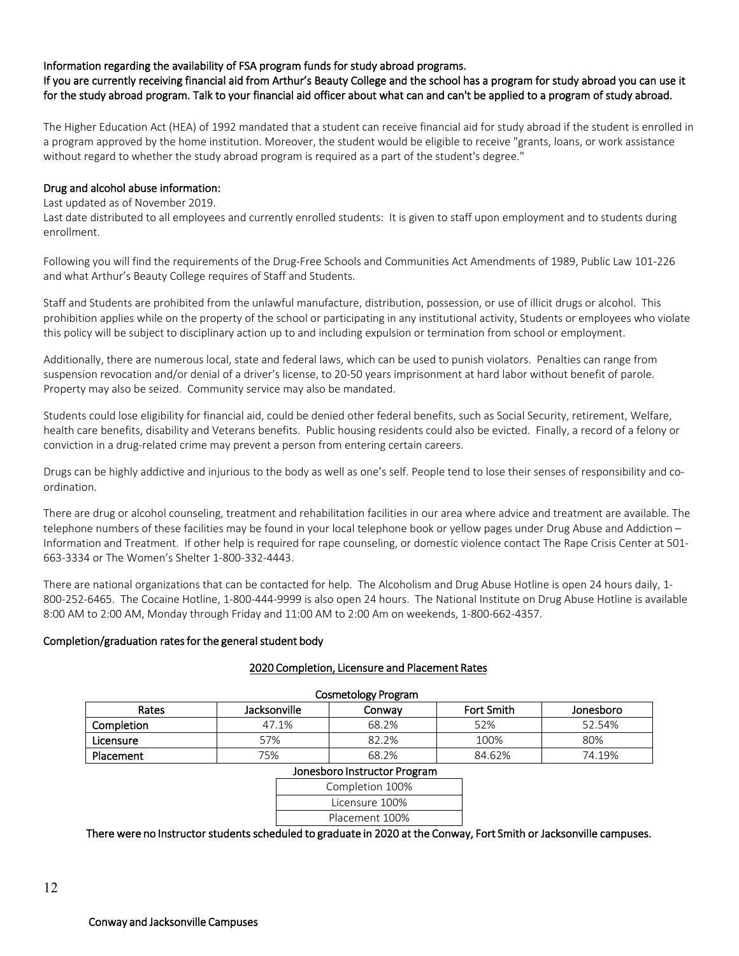### Information regarding the availability of FSA program funds for study abroad programs.

If you are currently receiving financial aid from Arthur's Beauty College and the school has a program for study abroad you can use it for the study abroad program. Talk to your financial aid officer about what can and can't be applied to a program of study abroad.

The Higher Education Act (HEA) of 1992 mandated that a student can receive financial aid for study abroad if the student is enrolled in a program approved by the home institution. Moreover, the student would be eligible to receive "grants, loans, or work assistance without regard to whether the study abroad program is required as a part of the student's degree."

### Drug and alcohol abuse information:

### Last updated as of November 2019.

Last date distributed to all employees and currently enrolled students: It is given to staff upon employment and to students during enrollment.

Following you will find the requirements of the Drug-Free Schools and Communities Act Amendments of 1989, Public Law 101-226 and what Arthur's Beauty College requires of Staff and Students.

Staff and Students are prohibited from the unlawful manufacture, distribution, possession, or use of illicit drugs or alcohol. This prohibition applies while on the property of the school or participating in any institutional activity, Students or employees who violate this policy will be subject to disciplinary action up to and including expulsion or termination from school or employment.

Additionally, there are numerous local, state and federal laws, which can be used to punish violators. Penalties can range from suspension revocation and/or denial of a driver's license, to 20-50 years imprisonment at hard labor without benefit of parole. Property may also be seized. Community service may also be mandated.

Students could lose eligibility for financial aid, could be denied other federal benefits, such as Social Security, retirement, Welfare, health care benefits, disability and Veterans benefits. Public housing residents could also be evicted. Finally, a record of a felony or conviction in a drug-related crime may prevent a person from entering certain careers.

Drugs can be highly addictive and injurious to the body as well as one's self. People tend to lose their senses of responsibility and coordination.

There are drug or alcohol counseling, treatment and rehabilitation facilities in our area where advice and treatment are available. The telephone numbers of these facilities may be found in your local telephone book or yellow pages under Drug Abuse and Addiction – Information and Treatment. If other help is required for rape counseling, or domestic violence contact The Rape Crisis Center at 501- 663-3334 or The Women's Shelter 1-800-332-4443.

There are national organizations that can be contacted for help. The Alcoholism and Drug Abuse Hotline is open 24 hours daily, 1- 800-252-6465. The Cocaine Hotline, 1-800-444-9999 is also open 24 hours. The National Institute on Drug Abuse Hotline is available 8:00 AM to 2:00 AM, Monday through Friday and 11:00 AM to 2:00 Am on weekends, 1-800-662-4357.

#### Completion/graduation rates for the general student body

#### 2020 Completion, Licensure and Placement Rates

| Cosmetology Program |              |        |            |           |
|---------------------|--------------|--------|------------|-----------|
| Rates               | Jacksonville | Conwav | Fort Smith | Jonesboro |
| Completion          | 47.1%        | 68.2%  | 52%        | 52.54%    |
| <b>Licensure</b>    | 57%          | 82.2%  | 100%       | 80%       |
| Placement           | 75%          | 68.2%  | 84.62%     | 74.19%    |

#### Jonesboro Instructor Program Completion 100% Licensure 100%

Placement 100%

There were no Instructor students scheduled to graduate in 2020 at the Conway, Fort Smith or Jacksonville campuses.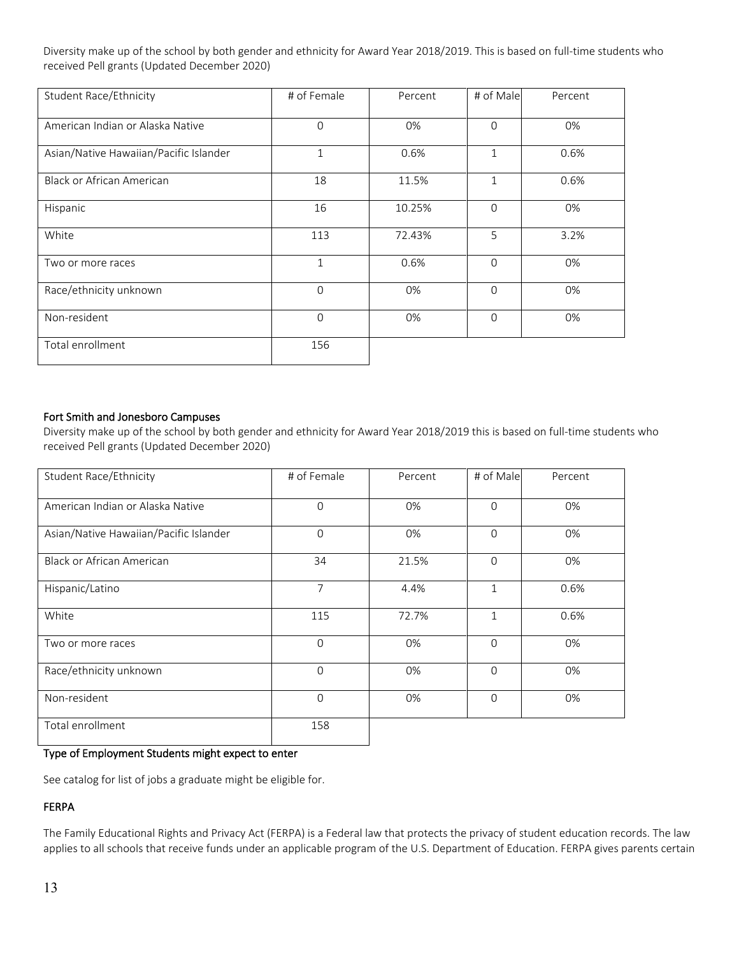Diversity make up of the school by both gender and ethnicity for Award Year 2018/2019. This is based on full-time students who received Pell grants (Updated December 2020)

| <b>Student Race/Ethnicity</b>          | # of Female  | Percent | # of Male    | Percent |
|----------------------------------------|--------------|---------|--------------|---------|
| American Indian or Alaska Native       | $\Omega$     | 0%      | 0            | 0%      |
| Asian/Native Hawaiian/Pacific Islander | $\mathbf 1$  | 0.6%    | $\mathbf{1}$ | 0.6%    |
| Black or African American              | 18           | 11.5%   | 1            | 0.6%    |
| Hispanic                               | 16           | 10.25%  | $\Omega$     | 0%      |
| White                                  | 113          | 72.43%  | 5            | 3.2%    |
| Two or more races                      | $\mathbf{1}$ | 0.6%    | $\Omega$     | 0%      |
| Race/ethnicity unknown                 | $\Omega$     | 0%      | $\Omega$     | 0%      |
| Non-resident                           | $\Omega$     | 0%      | $\Omega$     | 0%      |
| Total enrollment                       | 156          |         |              |         |

### Fort Smith and Jonesboro Campuses

Diversity make up of the school by both gender and ethnicity for Award Year 2018/2019 this is based on full-time students who received Pell grants (Updated December 2020)

| Student Race/Ethnicity                 | # of Female | Percent | # of Male | Percent |
|----------------------------------------|-------------|---------|-----------|---------|
| American Indian or Alaska Native       | $\Omega$    | 0%      | $\Omega$  | 0%      |
| Asian/Native Hawaiian/Pacific Islander | $\Omega$    | 0%      | $\Omega$  | 0%      |
| Black or African American              | 34          | 21.5%   | $\Omega$  | 0%      |
| Hispanic/Latino                        | 7           | 4.4%    | 1         | 0.6%    |
| White                                  | 115         | 72.7%   | 1         | 0.6%    |
| Two or more races                      | $\Omega$    | 0%      | $\Omega$  | 0%      |
| Race/ethnicity unknown                 | $\Omega$    | 0%      | $\Omega$  | 0%      |
| Non-resident                           | $\Omega$    | 0%      | $\Omega$  | 0%      |
| Total enrollment                       | 158         |         |           |         |

# Type of Employment Students might expect to enter

See catalog for list of jobs a graduate might be eligible for.

#### FERPA

The Family Educational Rights and Privacy Act (FERPA) is a Federal law that protects the privacy of student education records. The law applies to all schools that receive funds under an applicable program of the U.S. Department of Education. FERPA gives parents certain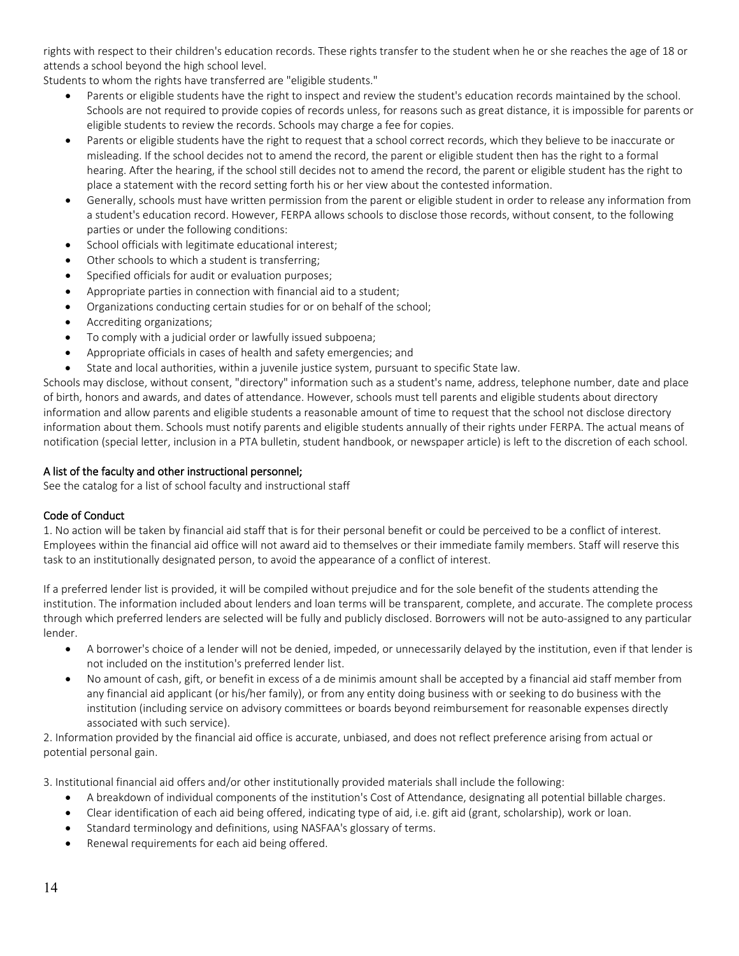rights with respect to their children's education records. These rights transfer to the student when he or she reaches the age of 18 or attends a school beyond the high school level.

Students to whom the rights have transferred are "eligible students."

- Parents or eligible students have the right to inspect and review the student's education records maintained by the school. Schools are not required to provide copies of records unless, for reasons such as great distance, it is impossible for parents or eligible students to review the records. Schools may charge a fee for copies.
- Parents or eligible students have the right to request that a school correct records, which they believe to be inaccurate or misleading. If the school decides not to amend the record, the parent or eligible student then has the right to a formal hearing. After the hearing, if the school still decides not to amend the record, the parent or eligible student has the right to place a statement with the record setting forth his or her view about the contested information.
- Generally, schools must have written permission from the parent or eligible student in order to release any information from a student's education record. However, FERPA allows schools to disclose those records, without consent, to the following parties or under the following conditions:
- School officials with legitimate educational interest;
- Other schools to which a student is transferring;
- Specified officials for audit or evaluation purposes;
- Appropriate parties in connection with financial aid to a student;
- Organizations conducting certain studies for or on behalf of the school;
- Accrediting organizations;
- To comply with a judicial order or lawfully issued subpoena;
- Appropriate officials in cases of health and safety emergencies; and
- State and local authorities, within a juvenile justice system, pursuant to specific State law.

Schools may disclose, without consent, "directory" information such as a student's name, address, telephone number, date and place of birth, honors and awards, and dates of attendance. However, schools must tell parents and eligible students about directory information and allow parents and eligible students a reasonable amount of time to request that the school not disclose directory information about them. Schools must notify parents and eligible students annually of their rights under FERPA. The actual means of notification (special letter, inclusion in a PTA bulletin, student handbook, or newspaper article) is left to the discretion of each school.

### A list of the faculty and other instructional personnel;

See the catalog for a list of school faculty and instructional staff

#### Code of Conduct

1. No action will be taken by financial aid staff that is for their personal benefit or could be perceived to be a conflict of interest. Employees within the financial aid office will not award aid to themselves or their immediate family members. Staff will reserve this task to an institutionally designated person, to avoid the appearance of a conflict of interest.

If a preferred lender list is provided, it will be compiled without prejudice and for the sole benefit of the students attending the institution. The information included about lenders and loan terms will be transparent, complete, and accurate. The complete process through which preferred lenders are selected will be fully and publicly disclosed. Borrowers will not be auto-assigned to any particular lender.

- A borrower's choice of a lender will not be denied, impeded, or unnecessarily delayed by the institution, even if that lender is not included on the institution's preferred lender list.
- No amount of cash, gift, or benefit in excess of a de minimis amount shall be accepted by a financial aid staff member from any financial aid applicant (or his/her family), or from any entity doing business with or seeking to do business with the institution (including service on advisory committees or boards beyond reimbursement for reasonable expenses directly associated with such service).

2. Information provided by the financial aid office is accurate, unbiased, and does not reflect preference arising from actual or potential personal gain.

3. Institutional financial aid offers and/or other institutionally provided materials shall include the following:

- A breakdown of individual components of the institution's Cost of Attendance, designating all potential billable charges.
- Clear identification of each aid being offered, indicating type of aid, i.e. gift aid (grant, scholarship), work or loan.
- Standard terminology and definitions, using NASFAA's glossary of terms.
- Renewal requirements for each aid being offered.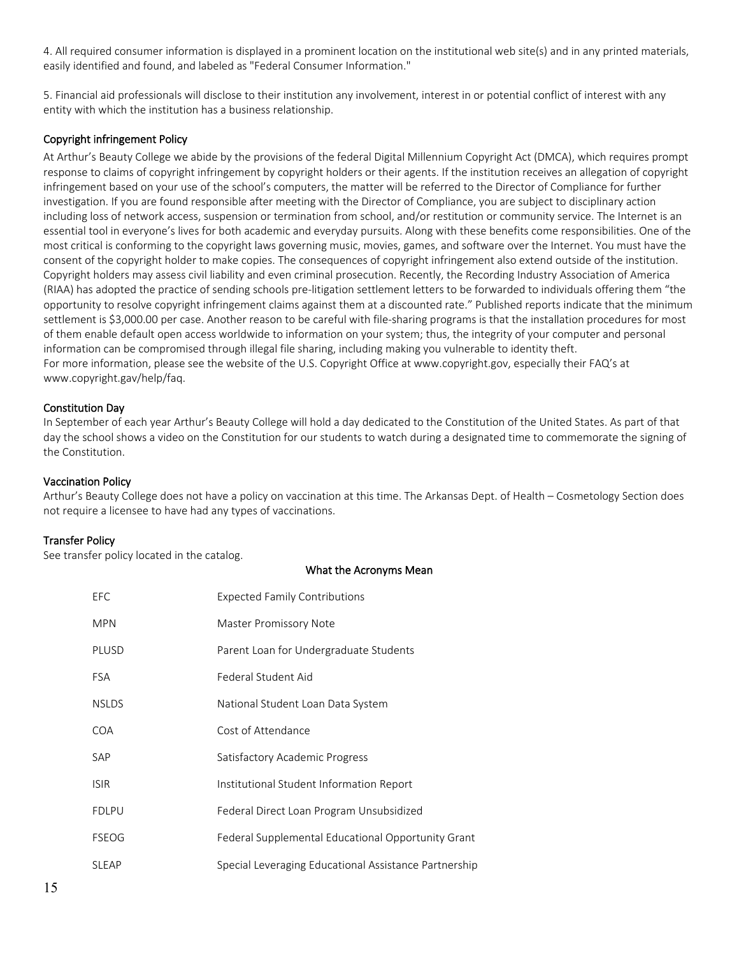4. All required consumer information is displayed in a prominent location on the institutional web site(s) and in any printed materials, easily identified and found, and labeled as "Federal Consumer Information."

5. Financial aid professionals will disclose to their institution any involvement, interest in or potential conflict of interest with any entity with which the institution has a business relationship.

### Copyright infringement Policy

At Arthur's Beauty College we abide by the provisions of the federal Digital Millennium Copyright Act (DMCA), which requires prompt response to claims of copyright infringement by copyright holders or their agents. If the institution receives an allegation of copyright infringement based on your use of the school's computers, the matter will be referred to the Director of Compliance for further investigation. If you are found responsible after meeting with the Director of Compliance, you are subject to disciplinary action including loss of network access, suspension or termination from school, and/or restitution or community service. The Internet is an essential tool in everyone's lives for both academic and everyday pursuits. Along with these benefits come responsibilities. One of the most critical is conforming to the copyright laws governing music, movies, games, and software over the Internet. You must have the consent of the copyright holder to make copies. The consequences of copyright infringement also extend outside of the institution. Copyright holders may assess civil liability and even criminal prosecution. Recently, the Recording Industry Association of America (RIAA) has adopted the practice of sending schools pre-litigation settlement letters to be forwarded to individuals offering them "the opportunity to resolve copyright infringement claims against them at a discounted rate." Published reports indicate that the minimum settlement is \$3,000.00 per case. Another reason to be careful with file-sharing programs is that the installation procedures for most of them enable default open access worldwide to information on your system; thus, the integrity of your computer and personal information can be compromised through illegal file sharing, including making you vulnerable to identity theft. For more information, please see the website of the U.S. Copyright Office at www.copyright.gov, especially their FAQ's at www.copyright.gav/help/faq.

### Constitution Day

In September of each year Arthur's Beauty College will hold a day dedicated to the Constitution of the United States. As part of that day the school shows a video on the Constitution for our students to watch during a designated time to commemorate the signing of the Constitution.

#### Vaccination Policy

Arthur's Beauty College does not have a policy on vaccination at this time. The Arkansas Dept. of Health – Cosmetology Section does not require a licensee to have had any types of vaccinations.

What the Acronyms Mean

### Transfer Policy

See transfer policy located in the catalog.

| <b>Expected Family Contributions</b>                  |
|-------------------------------------------------------|
| <b>Master Promissory Note</b>                         |
| Parent Loan for Undergraduate Students                |
| Federal Student Aid                                   |
| National Student Loan Data System                     |
| Cost of Attendance                                    |
| Satisfactory Academic Progress                        |
| Institutional Student Information Report              |
| Federal Direct Loan Program Unsubsidized              |
| Federal Supplemental Educational Opportunity Grant    |
| Special Leveraging Educational Assistance Partnership |
|                                                       |